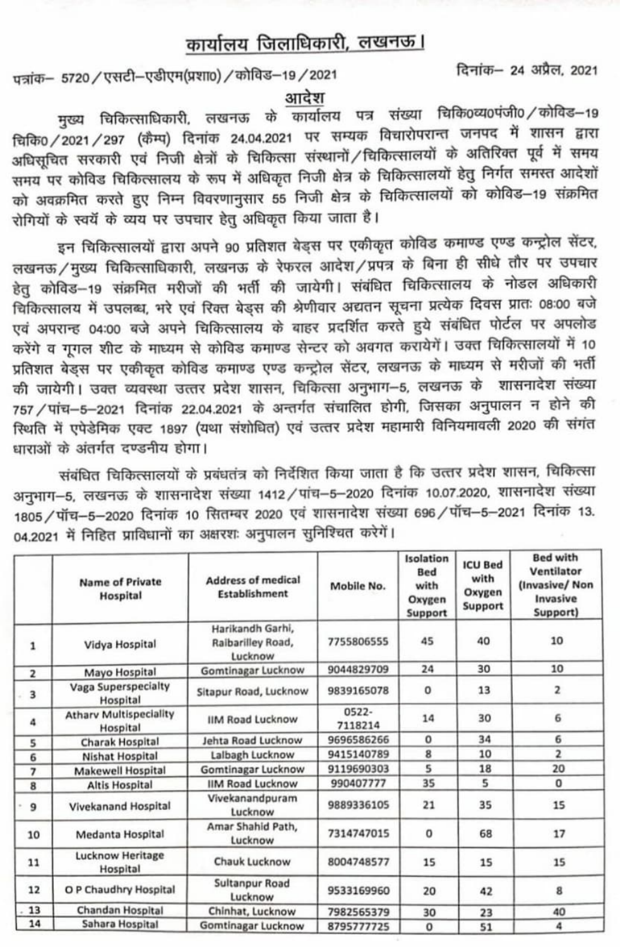## कार्यालय जिलाधिकारी, लखनऊ।

fHi- 24 HT, 2021 ATTE5720/yTeI-YTIVa(grmo) /zfT-19/2021

311दश<br>मुख्य चिकित्साधिकारी, लखनऊ के कार्यालय पत्र संख्या चिकि०व्य0पंजी0 / कोविड–19 चिकि0 / 2021 / 297 (कैम्प) दिनांक 24.04.2021 पर सम्यक विचारोपरान्त जनपद में शासन द्वारा<br>अधिसूचित सरकारी एवं निजी क्षेत्रों के चिकित्सा संस्थानों / चिकित्सालयों के अतिरिक्त पूर्व में समय आधसूम्बत सरकारा एवं निजा केत्रा के त्वाकरता राखाया, त्यानराज्ञालयों हेतु निर्गत समस्त आदेशों<br>समय पर कोविड चिकित्सालय के रूप में अधिकृत निजी क्षेत्र के चिकित्सालयों हेतु निर्गत समस्त आदेशों समय पर काविड विविक्तरसालय के रूप में आवक्त गांवा की कार्यास्तालयों को कोविड–19 संक्रमित<br>को अवक्रमित करते हुए निम्न विवरणानुसार 55 निजी क्षेत्र के चिकित्सालयों को कोविड–19 संक्रमित रोगियों के स्वयें के व्यय पर उपचार हेतु अधिकृत किया जाता है।

इन चिकित्सालयों द्वारा अपने 90 प्रतिशत बेड्स पर एकीकृत कोविड कमाण्ड एण्ड कन्ट्रोल सेंटर, लखनऊ/मुख्य चिकित्साधिकारी, लखनऊ के रेफरल आदेश/प्रपत्र के बिना ही सीधे तौर पर उपचार हेतु कोविड–19 संक्रमित मरीजों की भर्ती की जायेगी। संबंधित चिकित्सालय के नोडल अधिकारी चिकित्सालय में उपलब्ध, भरे एवं रिक्त बेड्स की श्रेणीवार अद्यतन सूचना प्रत्येक दिवस प्रातः 08:00 बजे एवं अपरान्ह 04:00 बजे अपने चिकित्सालय के बाहर प्रदर्शित करते हुये संबंधित पोर्टल पर अपलोड करेंगे व गूगल शीट के माध्यम से कोविड कमाण्ड सेन्टर को अवगत करायेगें। उक्त चिकित्सालयों में 10 प्रतिशत बेड्स पर एकीकृत कोविड कमाण्ड एण्ड कन्ट्रोल सेंटर, लखनऊ के माध्यम से मरीजों की भर्ती<br>की जायेगी। उक्त व्यवस्था उत्तर प्रदेश शासन, चिकित्सा अनुभाग—5, लखनऊ के शासनादेश संख्या<br>757 / पांच—5—2021 दिनांक 22.04.2021 के अ रिथति में एपेडेमिक एक्ट 1897 (यथा संशोधित) एवं उत्तर प्रदेश महामारी विनियमावली 2020 की संगंत धाराओं के अंतर्गत दण्डनीय होगा।

संबंधित चिकित्सालयों के प्रबंधतंत्र को निर्देशित किया जाता है कि उत्तर प्रदेश शासन, चिकित्सा<br>अनुभाग—5, लखनऊ के शासनादेश संख्या 1412/पांच—5—2020 दिनांक 10.07.2020, शासनादेश संख्या 1805 / पॉच-5-2020 दिनांक 10 सितम्बर 2020 एवं शासनादेश संख्या 696 / पॉच-5-2021 दिनांक 13. 04.2021 में निहित प्राविधानों का अक्षरशः अनुपालन सुनिश्चित करेगें।

|                         | <b>Name of Private</b><br>Hospital        | <b>Address of medical</b><br>Establishment       | Mobile No.       | Isolation<br>Bed<br>with<br>Oxygen<br>Support | <b>ICU Bed</b><br>with<br>Oxygen<br>Support | <b>Bed with</b><br>Ventilator<br>(Invasive/Non<br>Invasive<br>Support) |
|-------------------------|-------------------------------------------|--------------------------------------------------|------------------|-----------------------------------------------|---------------------------------------------|------------------------------------------------------------------------|
| 1                       | Vidya Hospital                            | Harikandh Garhi,<br>Raibarilley Road,<br>Lucknow | 7755806555       | 45                                            | 40                                          | 10                                                                     |
| $\overline{\mathbf{2}}$ | Mayo Hospital                             | <b>Gomtinagar Lucknow</b>                        | 9044829709       | 24                                            | 30                                          | 10                                                                     |
| 3                       | Vaga Superspecialty<br>Hospital           | Sitapur Road, Lucknow                            | 9839165078       | $\circ$                                       | 13                                          | $\overline{\mathbf{2}}$                                                |
| 4                       | <b>Athary Multispeciality</b><br>Hospital | <b>IIM Road Lucknow</b>                          | 0522-<br>7118214 | 14                                            | 30                                          | 6                                                                      |
| 5                       | Charak Hospital                           | Jehta Road Lucknow                               | 9696586266       | $\Omega$                                      | 34                                          | 6                                                                      |
| 6                       | Nishat Hospital                           | Lalbagh Lucknow                                  | 9415140789       | 8                                             | 10                                          | $\overline{\mathbf{z}}$                                                |
| $\overline{7}$          | Makewell Hospital                         | <b>Gomtinagar Lucknow</b>                        | 9119690303       | 5                                             | 18                                          | 20                                                                     |
| 8                       | <b>Altis Hospital</b>                     | <b>IIM Road Lucknow</b>                          | 990407777        | 35                                            | 5                                           | 0                                                                      |
| 9                       | Vivekanand Hospital                       | Vivekanandpuram<br>Lucknow                       | 9889336105       | 21                                            | 35                                          | 15                                                                     |
| 10                      | Medanta Hospital                          | Amar Shahid Path,<br>Lucknow                     | 7314747015       | $\Omega$                                      | 68                                          | 17                                                                     |
| 11                      | <b>Lucknow Heritage</b><br>Hospital       | Chauk Lucknow                                    | 8004748577       | 15                                            | 15                                          | 15                                                                     |
| 12                      | O P Chaudhry Hospital                     | Sultanpur Road<br>Lucknow                        | 9533169960       | 20                                            | 42                                          | 8                                                                      |
| 13                      | Chandan Hospital                          | Chinhat, Lucknow                                 | 7982565379       | 30                                            | 23                                          | 40                                                                     |
| 14                      | Sahara Hospital                           | <b>Gomtinagar Lucknow</b>                        | 8795777725       | $\mathbf 0$                                   | 51                                          | 4                                                                      |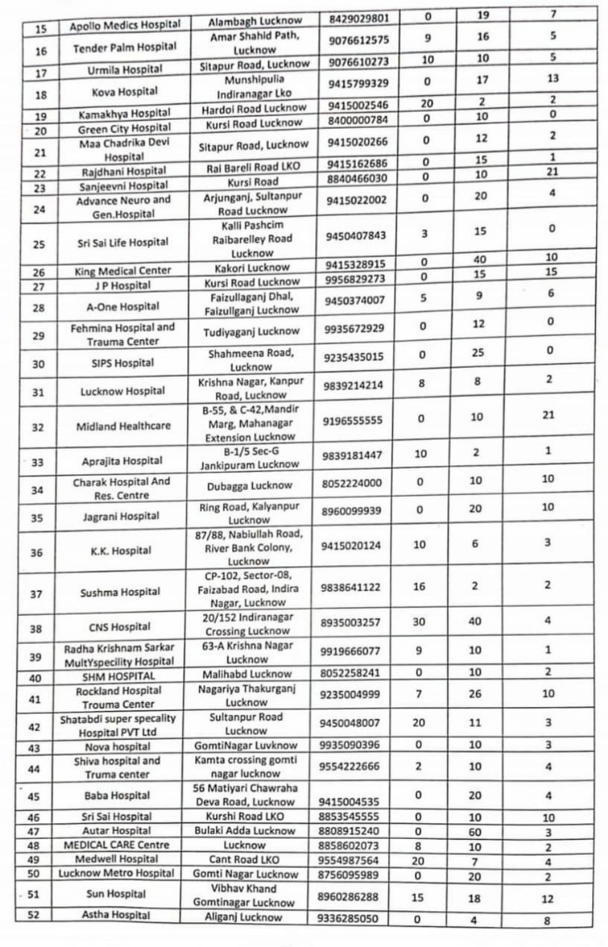|          |                                                  | Alambagh Lucknow                                                    | 8429029801               | 0                | 19                       | 7                       |
|----------|--------------------------------------------------|---------------------------------------------------------------------|--------------------------|------------------|--------------------------|-------------------------|
| 15       | Apollo Medics Hospital                           | Amar Shahid Path.                                                   | 9076612575               | 9                | 16                       | 5                       |
| 16       | <b>Tender Palm Hospital</b>                      | Lucknow<br>Sitapur Road, Lucknow                                    | 9076610273               | 10               | 10                       | 5                       |
| 17       | Urmila Hospital                                  | Munshipulia                                                         | 9415799329               | 0                | 17                       | 13                      |
| 18       | Kova Hospital                                    | Indiranagar Lko                                                     | 9415002546               | 20               | $\overline{\mathbf{z}}$  | $\overline{\mathbf{z}}$ |
| 19       | Kamakhya Hospital                                | Hardoi Road Lucknow                                                 | 8400000784               | o                | 10                       | $\mathbf{O}$            |
| 20       | <b>Green City Hospital</b>                       | Kursi Road Lucknow                                                  |                          |                  | 12                       | $\mathbf 2$             |
| 21       | Maa Chadrika Devi<br>Hospital                    | Sitapur Road, Lucknow                                               | 9415020266               | 0<br>$\mathbf o$ | 15                       | $\mathbf 1$             |
| 22       | Rajdhani Hospital                                | Rai Bareli Road LKO                                                 | 9415162686<br>8840466030 | $\mathbf o$      | 10                       | 21                      |
| 23       | Sanjeevni Hospital                               | Kursi Road                                                          |                          |                  |                          | 4                       |
| 24       | Advance Neuro and<br>Gen.Hospital                | Arjunganj, Sultanpur<br>Road Lucknow                                | 9415022002               | 0                | 20                       |                         |
| 25       | Sri Sai Life Hospital                            | Kalli Pashcim<br><b>Raibarelley Road</b><br>Lucknow                 | 9450407843               | 3                | 15                       | 0                       |
|          |                                                  | Kakori Lucknow                                                      | 9415328915               | 0                | 40                       | 10                      |
| 26       | King Medical Center<br>J P Hospital              | Kursi Road Lucknow                                                  | 9956829273               | 0                | 15                       | 15                      |
| 27<br>28 | A-One Hospital                                   | Faizullaganj Dhal,<br>Faizullganj Lucknow                           | 9450374007               | 5                | 9                        | 6                       |
| 29       | Fehmina Hospital and                             | Tudiyaganj Lucknow                                                  | 9935672929               | 0                | 12                       | 0                       |
| 30       | <b>Trauma Center</b><br><b>SIPS Hospital</b>     | Shahmeena Road,<br>Lucknow                                          | 9235435015               | 0                | 25                       | 0                       |
| 31       | Lucknow Hospital                                 | Krishna Nagar, Kanpur<br>Road, Lucknow                              | 9839214214               | 8                | 8                        | $\overline{\mathbf{2}}$ |
| 32       | Midland Healthcare                               | B-55, & C-42, Mandir<br>Marg, Mahanagar<br><b>Extension Lucknow</b> | 9196555555               | 0                | 10                       | 21                      |
| 33       | Aprajita Hospital                                | <b>B-1/5 Sec-G</b><br>Jankipuram Lucknow                            | 9839181447               | 10               | $\overline{\mathbf{z}}$  | $\mathbf 1$             |
| 34       | Charak Hospital And                              | Dubagga Lucknow                                                     | 8052224000               | $\mathbf 0$      | 10                       | 10                      |
| 35       | Res. Centre<br>Jagrani Hospital                  | Ring Road, Kalyanpur<br>Lucknow                                     | 8960099939               | 0                | 20                       | 10                      |
| 36       | K.K. Hospital                                    | 87/88, Nabiullah Road,<br>River Bank Colony,<br>Lucknow             | 9415020124               | 10               | 6                        | 3                       |
| 37       | Sushma Hospital                                  | CP-102, Sector-08,<br>Faizabad Road, Indira<br>Nagar, Lucknow       | 9838641122               | 16               | $\overline{\mathbf{2}}$  | 2                       |
| 38       | <b>CNS Hospital</b>                              | 20/152 Indiranagar<br><b>Crossing Lucknow</b>                       | 8935003257               | 30               | 40                       | 4                       |
| 39       | Radha Krishnam Sarkar                            | 63-A Krishna Nagar<br>Lucknow                                       | 9919666077               | 9                | 10                       | $\mathbf 1$             |
|          | MultYspecility Hospital<br><b>SHM HOSPITAL</b>   | Malihabd Lucknow                                                    | 8052258241               | 0                | 10                       | 2                       |
| 40<br>41 | <b>Rockland Hospital</b><br><b>Trouma Center</b> | Nagariya Thakurganj<br>Lucknow                                      | 9235004999               | 7                | 26                       | 10                      |
| 42       | Shatabdi super specality                         | Sultanpur Road<br>Lucknow                                           | 9450048007               | 20               | 11                       | 3                       |
|          | <b>Hospital PVT Ltd</b><br>Nova hospital         | GomtiNagar Luvknow                                                  | 9935090396               | 0                | 10                       | 3                       |
| 43<br>44 | Shiva hospital and                               | Kamta crossing gomti                                                | 9554222666               | $\overline{2}$   | 10                       | 4                       |
| 45       | Truma center<br><b>Baba Hospital</b>             | nagar lucknow<br>56 Matiyari Chawraha                               |                          | 0                | 20                       | 4                       |
|          | Sri Sai Hospital                                 | Deva Road, Lucknow<br>Kurshi Road LKO                               | 9415004535<br>8853545555 | 0                |                          |                         |
| 46<br>47 | Autar Hospital                                   | Bulaki Adda Lucknow                                                 | 8808915240               | 0                | 10<br>60                 | 10<br>3                 |
| 48       | <b>MEDICAL CARE Centre</b>                       | Lucknow                                                             | 8858602073               | 8                | 10                       | 2                       |
| 49       | Medwell Hospital                                 | Cant Road LKO                                                       | 9554987564               | 20               | $\overline{\phantom{a}}$ | 4                       |
| 50       | Lucknow Metro Hospital                           | Gomti Nagar Lucknow                                                 | 8756095989               | $\circ$          | 20                       | $\overline{\mathbf{c}}$ |
| 51       | Sun Hospital                                     | <b>Vibhav Khand</b><br><b>Gomtinagar Lucknow</b>                    | 8960286288               | 15               | 18                       | 12                      |
| 52       | Astha Hospital                                   | Aliganj Lucknow                                                     | 9336285050               | 0                | 4                        | 8                       |
|          |                                                  |                                                                     |                          |                  |                          |                         |